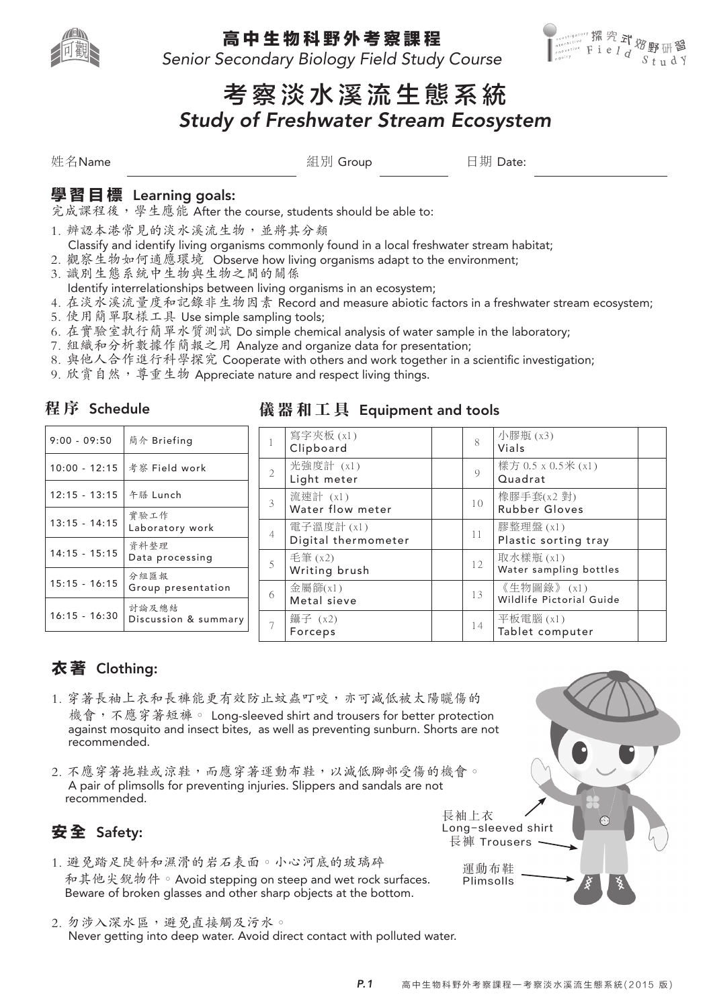

高 中 生 物 科 野 外 考 察 課 程

Senior Secondary Biology Field Study Course



# 考 察 淡 水 溪 流 生 態 系 統 Study of Freshwater Stream Ecosystem

姓名Name 組別 Group 日期 Date:

### 學 習 目 標 Learning goals:

完成課程後,學生應能 After the course, students should be able to:

- 1. 辨認本港常見的淡水溪流生物,並將其分類
- Classify and identify living organisms commonly found in a local freshwater stream habitat;
- 2. 觀察生物如何適應環境 Observe how living organisms adapt to the environment;
- 3. 識別生態系統中生物與生物之間的關係
- Identify interrelationships between living organisms in an ecosystem;
- 4. 在淡水溪流量度和記錄非生物因素 Record and measure abiotic factors in a freshwater stream ecosystem;
- 5. 使用簡單取樣工具 Use simple sampling tools;
- 6. 在實驗室執行簡單水質測試 Do simple chemical analysis of water sample in the laboratory;
- 7. 組織和分析數據作簡報之用 Analyze and organize data for presentation;
- 8. 與他人合作進行科學探究 Cooperate with others and work together in a scientific investigation;
- 9. 欣賞自然,導重生物 Appreciate nature and respect living things.

### 程 序 Schedule

| $9:00 - 09:50$  | 簡介 Briefing                   |
|-----------------|-------------------------------|
| $10:00 - 12:15$ | 考察 Field work                 |
| $12:15 - 13:15$ | 午膳 Lunch                      |
| $13:15 - 14:15$ | 實驗工作<br>Laboratory work       |
| $14:15 - 15:15$ | 資料整理<br>Data processing       |
| $15:15 - 16:15$ | 分組匯報<br>Group presentation    |
| $16:15 - 16:30$ | 計論及總結<br>Discussion & summary |

### 儀 器 和 工 具 Equipment and tools

|                | 寫字夾板(x1)<br>Clipboard             | 8              | 小膠瓶 (x3)<br>Vials                      |  |
|----------------|-----------------------------------|----------------|----------------------------------------|--|
| $\mathfrak{D}$ | 光強度計 (x1)<br>Light meter          | $\overline{Q}$ | 樣方 0.5 x 0.5米 (x1)<br>Quadrat          |  |
| 3              | 流速計 (x1)<br>Water flow meter      | 1 <sub>0</sub> | 橡膠手套(x2 對)<br>Rubber Gloves            |  |
| $\overline{4}$ | 電子溫度計 (x1)<br>Digital thermometer | 11             | 膠整理盤 (x1)<br>Plastic sorting tray      |  |
| 5              | 毛筆 (x2)<br>Writing brush          | 12             | 取水樣瓶 (x1)<br>Water sampling bottles    |  |
| 6              | 金屬篩 $(x1)$<br>Metal sieve         | 13             | 《生物圖錄》(x1)<br>Wildlife Pictorial Guide |  |
|                | 鑷子 (x2)<br>Forceps                | 14             | 平板電腦(x1)<br>Tablet computer            |  |

## 衣 著 Clothing:

- 1. 穿著長袖上衣和長褲能更有效防止蚊蟲叮咬,亦可減低被太陽曬傷的 機會,不應穿著短褲。 Long-sleeved shirt and trousers for better protection against mosquito and insect bites, as well as preventing sunburn. Shorts are not recommended.
- 2. 不應穿著拖鞋或涼鞋,而應穿著運動布鞋,以減低腳部受傷的機會。 A pair of plimsolls for preventing injuries. Slippers and sandals are not recommended.

# 安 全 Safety:

- 1. 避免踏足陡斜和濕滑的岩石表面。小心河底的玻璃碎 和其他尖銳物件。Avoid stepping on steep and wet rock surfaces. Beware of broken glasses and other sharp objects at the bottom.
- 2. 勿涉入深水區,避免直接觸及污水。 Never getting into deep water. Avoid direct contact with polluted water.

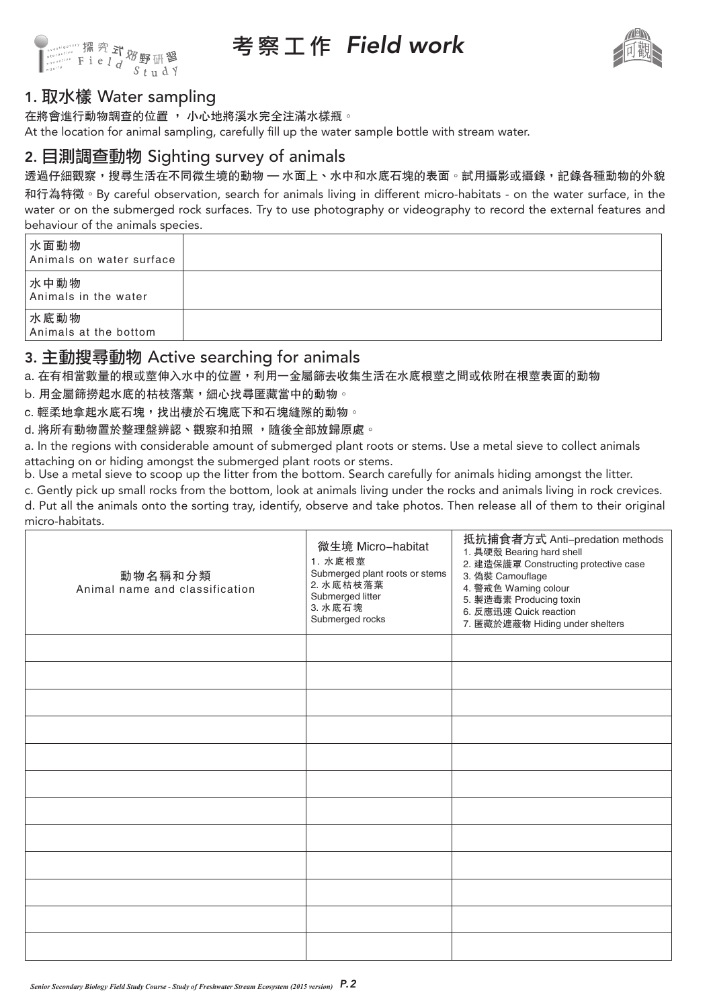

考 察 工 作 Field work



### 1. 取水樣 Water sampling

在將會進行動物調查的位置 , 小心地將溪水完全注滿水樣瓶。

At the location for animal sampling, carefully fill up the water sample bottle with stream water.

### 2. 目測調查動物 Sighting survey of animals

透過仔細觀察,搜尋生活在不同微生境的動物 — 水面上、水中和水底石塊的表面。試用攝影或攝錄,記錄各種動物的外貌

和行為特徵。By careful observation, search for animals living in different micro-habitats - on the water surface, in the water or on the submerged rock surfaces. Try to use photography or videography to record the external features and behaviour of the animals species.

| 水面動物<br>Animals on water surface |  |
|----------------------------------|--|
| 水中動物<br>Animals in the water     |  |
| 水底動物<br>Animals at the bottom    |  |

#### 3. 主動搜尋動物 Active searching for animals

a. 在有相當數量的根或莖伸入水中的位置,利用一金屬篩去收集生活在水底根莖之間或依附在根莖表面的動物

b. 用金屬篩撈起水底的枯枝落葉, 細心找尋匿藏當中的動物。

c. 輕柔地拿起水底石塊,找出棲於石塊底下和石塊縫隙的動物。

d. 將所有動物置於整理盤辨認、觀察和拍照, 隨後全部放歸原處。

a. In the regions with considerable amount of submerged plant roots or stems. Use a metal sieve to collect animals attaching on or hiding amongst the submerged plant roots or stems.

b. Use a metal sieve to scoop up the litter from the bottom. Search carefully for animals hiding amongst the litter.

c. Gently pick up small rocks from the bottom, look at animals living under the rocks and animals living in rock crevices. d. Put all the animals onto the sorting tray, identify, observe and take photos. Then release all of them to their original micro-habitats.

| 動物名稱和分類<br>Animal name and classification | 微生境 Micro-habitat<br>1. 水底根莖<br>Submerged plant roots or stems<br>2. 水底枯枝落葉<br>Submerged litter<br>3. 水底石塊<br>Submerged rocks | 抵抗捕食者方式 Anti-predation methods<br>1. 具硬殼 Bearing hard shell<br>2. 建造保護罩 Constructing protective case<br>3. 偽裝 Camouflage<br>4. 警戒色 Warning colour<br>5. 製造毒素 Producing toxin<br>6. 反應迅速 Quick reaction<br>7. 匿藏於遮蔽物 Hiding under shelters |
|-------------------------------------------|-------------------------------------------------------------------------------------------------------------------------------|-------------------------------------------------------------------------------------------------------------------------------------------------------------------------------------------------------------------------------------------|
|                                           |                                                                                                                               |                                                                                                                                                                                                                                           |
|                                           |                                                                                                                               |                                                                                                                                                                                                                                           |
|                                           |                                                                                                                               |                                                                                                                                                                                                                                           |
|                                           |                                                                                                                               |                                                                                                                                                                                                                                           |
|                                           |                                                                                                                               |                                                                                                                                                                                                                                           |
|                                           |                                                                                                                               |                                                                                                                                                                                                                                           |
|                                           |                                                                                                                               |                                                                                                                                                                                                                                           |
|                                           |                                                                                                                               |                                                                                                                                                                                                                                           |
|                                           |                                                                                                                               |                                                                                                                                                                                                                                           |
|                                           |                                                                                                                               |                                                                                                                                                                                                                                           |
|                                           |                                                                                                                               |                                                                                                                                                                                                                                           |
|                                           |                                                                                                                               |                                                                                                                                                                                                                                           |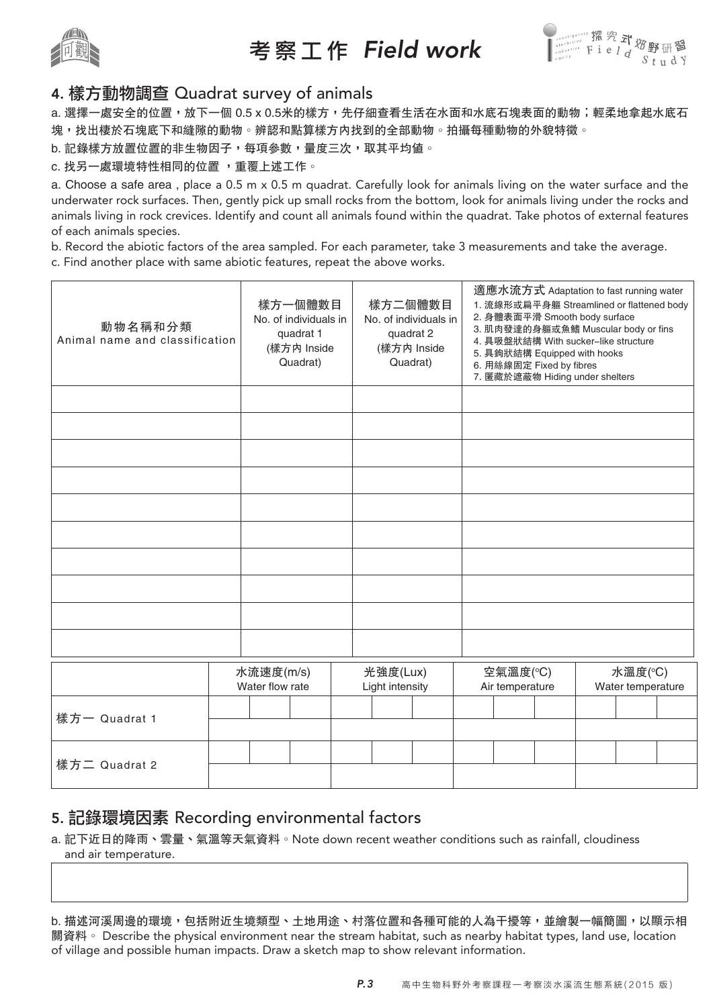

# 考 察 工 作 Field work



### 4. 樣方動物調查 Quadrat survey of animals

a. 選擇一處安全的位置,放下一個 0.5 x 0.5米的樣方,先仔細查看生活在水面和水底石塊表面的動物;輕柔地拿起水底石 塊,找出棲於石塊底下和縫隙的動物。辨認和點算樣方內找到的全部動物。拍攝每種動物的外貌特徵。

b. 記錄樣方放置位置的非生物因子,每項參數,量度三次,取其平均值。

#### c. 找另一處環境特性相同的位置 ,重覆上述工作。

a. Choose a safe area , place a 0.5 m x 0.5 m quadrat. Carefully look for animals living on the water surface and the underwater rock surfaces. Then, gently pick up small rocks from the bottom, look for animals living under the rocks and animals living in rock crevices. Identify and count all animals found within the quadrat. Take photos of external features of each animals species.

b. Record the abiotic factors of the area sampled. For each parameter, take 3 measurements and take the average.

c. Find another place with same abiotic features, repeat the above works.

| 動物名稱和分類<br>Animal name and classification | 樣方一個體數目<br>No. of individuals in<br>quadrat 1<br>(樣方内 Inside<br>Quadrat) | 樣方二個體數目<br>No. of individuals in<br>quadrat 2<br>(樣方内 Inside<br>Quadrat) | 2. 身體表面平滑 Smooth body surface<br>5. 具鉤狀結構 Equipped with hooks<br>6. 用絲線固定 Fixed by fibres<br>7. 匿藏於遮蔽物 Hiding under shelters | 適應水流方式 Adaptation to fast running water<br>1. 流線形或扁平身軀 Streamlined or flattened body<br>3. 肌肉發達的身軀或魚鰭 Muscular body or fins<br>4. 具吸盤狀結構 With sucker-like structure |
|-------------------------------------------|--------------------------------------------------------------------------|--------------------------------------------------------------------------|------------------------------------------------------------------------------------------------------------------------------|---------------------------------------------------------------------------------------------------------------------------------------------------------------------|
|                                           |                                                                          |                                                                          |                                                                                                                              |                                                                                                                                                                     |
|                                           |                                                                          |                                                                          |                                                                                                                              |                                                                                                                                                                     |
|                                           |                                                                          |                                                                          |                                                                                                                              |                                                                                                                                                                     |
|                                           |                                                                          |                                                                          |                                                                                                                              |                                                                                                                                                                     |
|                                           |                                                                          |                                                                          |                                                                                                                              |                                                                                                                                                                     |
|                                           |                                                                          |                                                                          |                                                                                                                              |                                                                                                                                                                     |
|                                           |                                                                          |                                                                          |                                                                                                                              |                                                                                                                                                                     |
|                                           |                                                                          |                                                                          |                                                                                                                              |                                                                                                                                                                     |
|                                           |                                                                          |                                                                          |                                                                                                                              |                                                                                                                                                                     |
|                                           |                                                                          |                                                                          |                                                                                                                              |                                                                                                                                                                     |
|                                           | 水流速度(m/s)<br>Water flow rate                                             | 光強度(Lux)<br>Light intensity                                              | 空氣溫度(°C)<br>Air temperature                                                                                                  | 水溫度(°C)<br>Water temperature                                                                                                                                        |
| 樣方一 Quadrat 1                             |                                                                          |                                                                          |                                                                                                                              |                                                                                                                                                                     |
|                                           |                                                                          |                                                                          |                                                                                                                              |                                                                                                                                                                     |
| 樣方二 Quadrat 2                             |                                                                          |                                                                          |                                                                                                                              |                                                                                                                                                                     |

### 5. 記錄環境因素 Recording environmental factors

a. 記下近日的降雨、雲量、氣溫等天氣資料。Note down recent weather conditions such as rainfall, cloudiness and air temperature.

b. 描述河溪周邊的環境,包括附近生境類型、土地用途、村落位置和各種可能的人為干擾等,並繪製一幅簡圖,以顯示相 關資料。 Describe the physical environment near the stream habitat, such as nearby habitat types, land use, location of village and possible human impacts. Draw a sketch map to show relevant information.